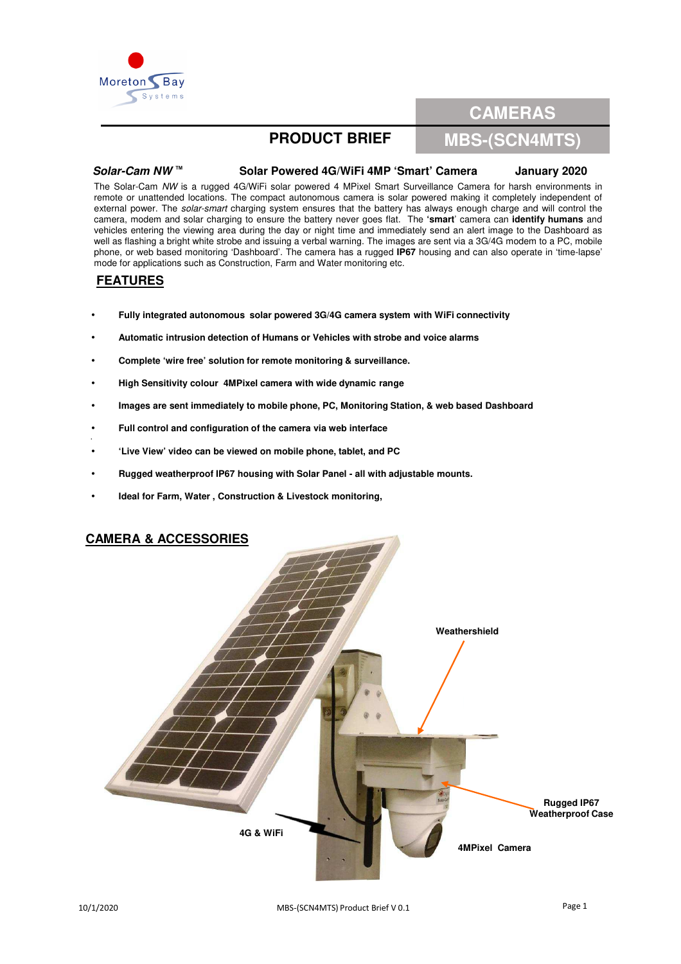

# **CAMERAS**

## **PRODUCT BRIEF**

## **MBS-(SCN4MTS)**

## **Solar-Cam NW ™ Solar Powered 4G/WiFi 4MP 'Smart' Camera January 2020**

The Solar-Cam NW is a rugged 4G/WiFi solar powered 4 MPixel Smart Surveillance Camera for harsh environments in remote or unattended locations. The compact autonomous camera is solar powered making it completely independent of external power. The solar-smart charging system ensures that the battery has always enough charge and will control the camera, modem and solar charging to ensure the battery never goes flat. The **'smart**' camera can **identify humans** and vehicles entering the viewing area during the day or night time and immediately send an alert image to the Dashboard as well as flashing a bright white strobe and issuing a verbal warning. The images are sent via a 3G/4G modem to a PC, mobile phone, or web based monitoring 'Dashboard'. The camera has a rugged **IP67** housing and can also operate in 'time-lapse' mode for applications such as Construction, Farm and Water monitoring etc.

## **FEATURES**

•

- **Fully integrated autonomous solar powered 3G/4G camera system with WiFi connectivity**
- **Automatic intrusion detection of Humans or Vehicles with strobe and voice alarms**
- **Complete 'wire free' solution for remote monitoring & surveillance.**
- **High Sensitivity colour 4MPixel camera with wide dynamic range**
- **Images are sent immediately to mobile phone, PC, Monitoring Station, & web based Dashboard**
- **Full control and configuration of the camera via web interface**
- **'Live View' video can be viewed on mobile phone, tablet, and PC**
- **Rugged weatherproof IP67 housing with Solar Panel - all with adjustable mounts.**
- **Ideal for Farm, Water , Construction & Livestock monitoring,**

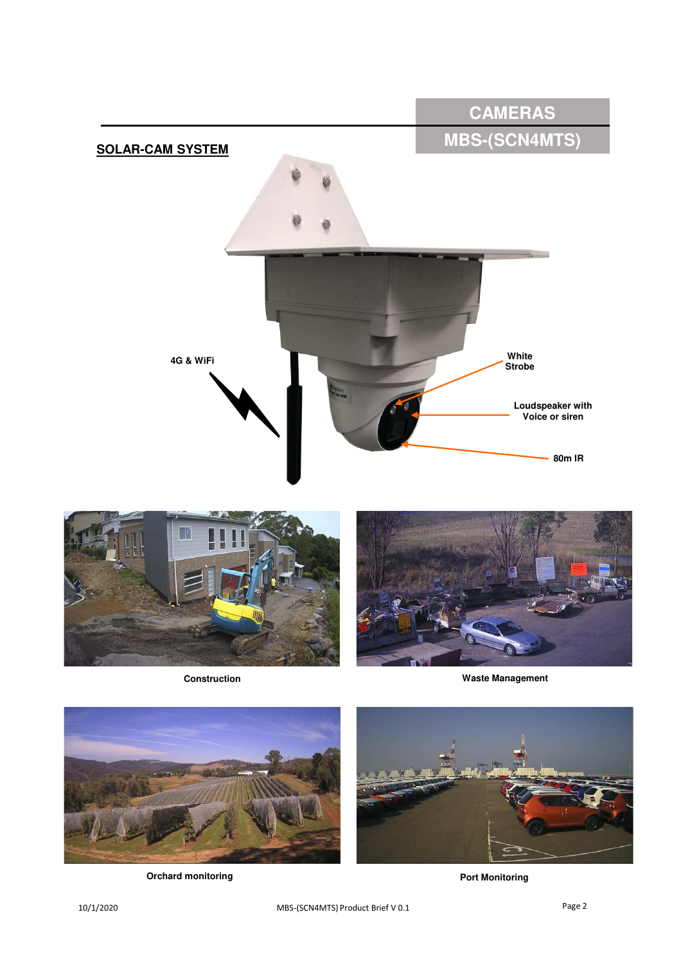



**Construction**



**Waste Management**



**Orchard monitoring** 

**Port Monitoring**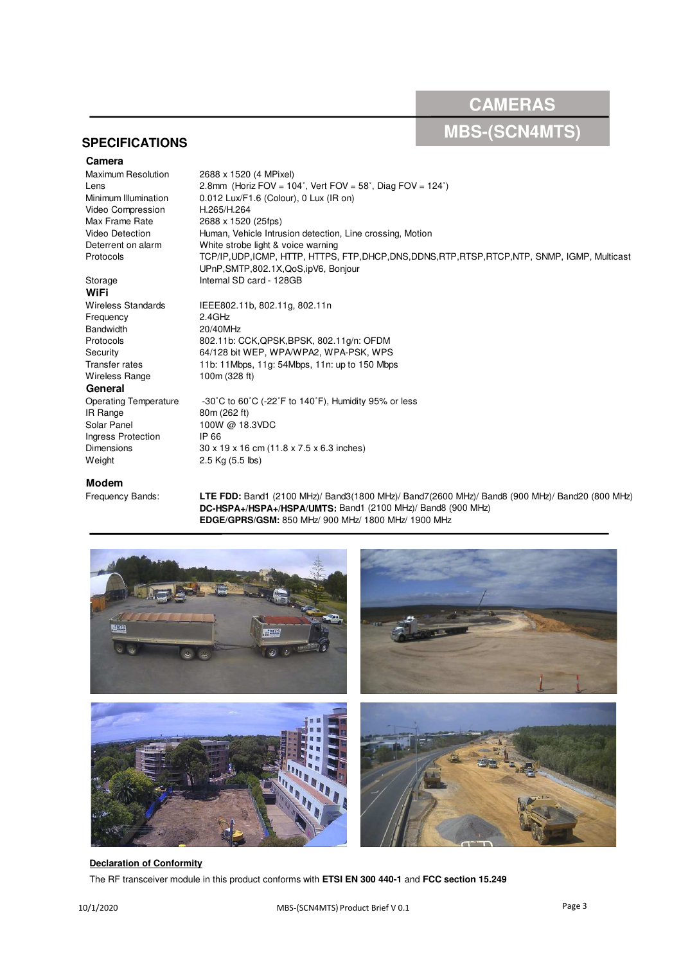**CAMERAS**

# **MBS-(SCN4MTS)**

## **SPECIFICATIONS**

**Camera**<br>Maximum Resolution Video Compression H.265/H.264 Max Frame Rate 2688 x 1520 (25fps)

2688 x 1520 (4 MPixel) Lens 2.8mm (Horiz FOV =  $104^\circ$ , Vert FOV =  $58^\circ$ , Diag FOV =  $124^\circ$ )<br>Minimum Illumination 0.012 Lux/F1.6 (Colour), 0.1 Lux (IR on) 0.012 Lux/F1.6 (Colour), 0 Lux (IR on) Video Detection Human, Vehicle Intrusion detection, Line crossing, Motion<br>Deterrent on alarm White strobe light & voice warning White strobe light & voice warning Protocols TCP/IP,UDP,ICMP, HTTP, HTTPS, FTP,DHCP,DNS,DDNS,RTP,RTSP,RTCP,NTP, SNMP, IGMP, Multicast UPnP,SMTP,802.1X,QoS,ipV6, Bonjour Storage Internal SD card - 128GB

# **WiFi**

Wireless Standards IEEE802.11b, 802.11g, 802.11n Frequency 2.4GHz Bandwidth 20/40MHz Protocols 802.11b: CCK,QPSK,BPSK, 802.11g/n: OFDM Security 64/128 bit WEP, WPA/WPA2, WPA-PSK, WPS Transfer rates 11b: 11Mbps, 11g: 54Mbps, 11n: up to 150 Mbps Wireless Range 100m (328 ft)

### **General**

Operating Temperature -30°C to 60°C (-22°F to 140°F), Humidity 95% or less IR Range 80m (262 ft) Solar Panel 100W @ 18.3VDC Ingress Protection IP 66<br>Dimensions 30 x 1 Weight 2.5 Kg (5.5 lbs)

**Modem**<br>Frequency Bands:

LTE FDD: Band1 (2100 MHz)/ Band3(1800 MHz)/ Band7(2600 MHz)/ Band8 (900 MHz)/ Band20 (800 MHz) **DC-HSPA+/HSPA+/HSPA/UMTS:** Band1 (2100 MHz)/ Band8 (900 MHz) **EDGE/GPRS/GSM:** 850 MHz/ 900 MHz/ 1800 MHz/ 1900 MHz



### **Declaration of Conformity**

The RF transceiver module in this product conforms with **ETSI EN 300 440-1** and **FCC section 15.249**

 $30 \times 19 \times 16$  cm (11.8 x 7.5 x 6.3 inches)